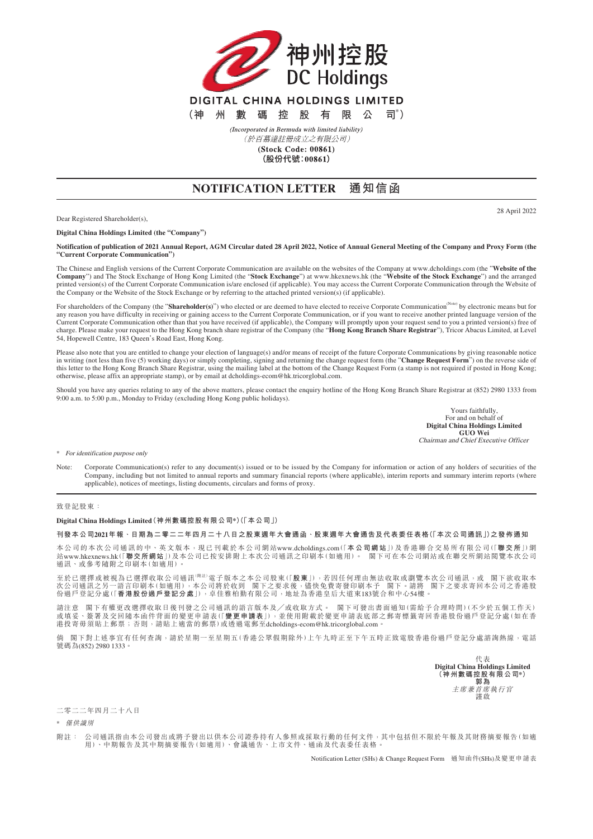

(於百慕達註冊成立之有限公司) (Stock Code: 00861)

(股份代號:00861)

## **NOTIFICATION LETTER 通知信函**

Dear Registered Shareholder(s),

**Digital China Holdings Limited (the "Company")**

**Notification of publication of 2021 Annual Report, AGM Circular dated 28 April 2022, Notice of Annual General Meeting of the Company and Proxy Form (the "Current Corporate Communication")**

The Chinese and English versions of the Current Corporate Communication are available on the websites of the Company at www.dcholdings.com (the "**Website of the Company**") and The Stock Exchange of Hong Kong Limited (the "**Stock Exchange**") at www.hkexnews.hk (the "**Website of the Stock Exchange**") and the arranged printed version(s) of the Current Corporate Communication is/are enclosed (if applicable). You may access the Current Corporate Communication through the Website of the Company or the Website of the Stock Exchange or by referring to the attached printed version(s) (if applicable).

For shareholders of the Company (the "**Shareholder(s)**") who elected or are deemed to have elected to receive Corporate Communication<sup>(Note)</sup> by electronic means but for any reason you have difficulty in receiving or gaining access to the Current Corporate Communication, or if you want to receive another printed language version of the Current Corporate Communication other than that you have received (if applicable), the Company will promptly upon your request send to you a printed version(s) free of<br>charge. Please make your request to the Hong Kong bran 54, Hopewell Centre, 183 Queen's Road East, Hong Kong.

Please also note that you are entitled to change your election of language(s) and/or means of receipt of the future Corporate Communications by giving reasonable notice in writing (not less than five (5) working days) or simply completing, signing and returning the change request form (the "**Change Request Form**") on the reverse side of this letter to the Hong Kong Branch Share Registrar, using the mailing label at the bottom of the Change Request Form (a stamp is not required if posted in Hong Kong; otherwise, please affix an appropriate stamp), or by email at dcholdings-ecom@hk.tricorglobal.com.

Should you have any queries relating to any of the above matters, please contact the enquiry hotline of the Hong Kong Branch Share Registrar at (852) 2980 1333 from 9:00 a.m. to 5:00 p.m., Monday to Friday (excluding Hong Kong public holidays).

> Yours faithfully, For and on behalf of **Digital China Holdings Limited GUO Wei** Chairman and Chief Executive Officer

\* For identification purpose only

Note: Corporate Communication(s) refer to any document(s) issued or to be issued by the Company for information or action of any holders of securities of the Company, including but not limited to annual reports and summary financial reports (where applicable), interim reports and summary interim reports (where applicable), notices of meetings, listing documents, circulars and forms of proxy.

## 致登記股東:

## **Digital China Holdings Limited(神州數碼控股有限公司\*)(「本公司」)**

## **刊發本公司2021年報、日期為二零二二年四月二十八日之股東週年大會通函、股東週年大會通告及代表委任表格(「本次公司通訊」)之發佈通知**

本公司的本次公司通訊的中、英文版本,現已刊載於本公司網站 www.dcholdings.com (「**本公司網站**」)及香港聯合交易所有限公司(「**聯交所**」)網 站www.hkexnews.hk (「**聯交所網站**」)及本公司已按安排附上本次公司通訊之印刷本(如適用)。 閣下可在本公司網站或在聯交所網站閱覽本次公司 通訊、或參考隨附之印刷本(如適用)

至於已選擇或被視為已選擇收取公司通訊<sup>(開註)</sup>電子版本之本公司股東(「**股東**」),若因任何理由無法收取或瀏覽本次公司通訊,或 閣下欲收取本 次公司通訊之另一語言印刷本(如適用),本公司將於收到 閣下之要求後,儘快免費寄發印刷本予 閣下。請將 閣下之要求寄回本公司之香港股<br>份過戶登記分處(「**香港股份過戶登記分處**」),卓佳雅柏勤有限公司,地址為香港皇后大道東183號合和中心54樓。

請注意 閣下有權更改選擇收取日後刊發之公司通訊的語言版本及╱或收取方式。 閣下可發出書面通知(需給予合理時間)(不少於五個工作天) 或填妥、簽署及交回隨本函件背面的變更申請表(「**變更申請表**」),並使用附載於變更申請表底部之郵寄標籤寄回香港股份過戶登記分處(如在香 港投寄毋須貼上郵票;否則,請貼上適當的郵票)或透過電郵至dcholdings-ecom@hk.tricorglobal.com 。

閣下對上述事宜有任何查詢,請於星期一至星期五(香港公眾假期除外)上午九時正至下午五時正致電股香港份過戶登記分處諮詢熱線,電話 號碼為(852) 2980 1333

> 代表 **Digital China Holdings Limited (神州數碼控股有限公司\*) 郭為** 主席兼首席執行官 謹啟

二零二二年四月二十八日

\* 僅供識別

附註: 公司通訊指由本公司發出或將予發出以供本公司證券持有人參照或採取行動的任何文件,其中包括但不限於年報及其財務摘要報告(如適 用)、中期報告及其中期摘要報告(如適用)、會議通告、上市文件、通函及代表委任表格。

Notification Letter (SHs) & Change Request Form 通知函件(SHs)及變更申請表

28 April 2022